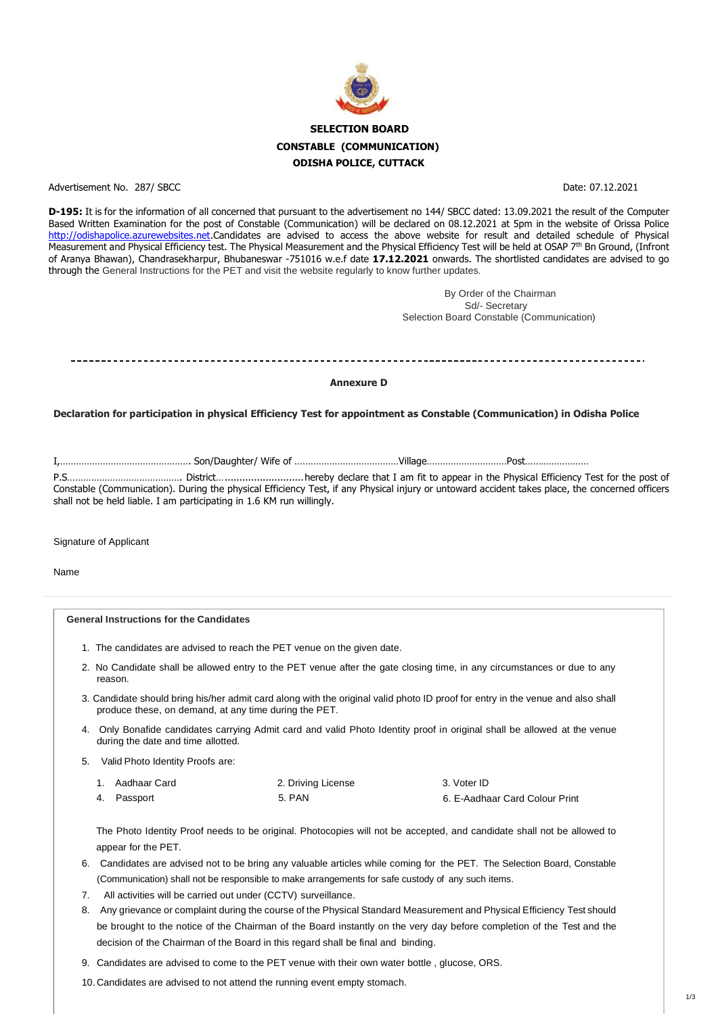

Advertisement No. 287/ SBCC Date: 07.12.2021

**D-195:** It is for the information of all concerned that pursuant to the advertisement no 144/ SBCC dated: 13.09.2021 the result of the Computer Based Written Examination for the post of Constable (Communication) will be declared on 08.12.2021 at 5pm in the website of Orissa Police [http://odishapolice.azurewebsites.net.](http://odishapolice.azurewebsites.net/)Candidates are advised to access the above website for result and detailed schedule of Physical Measurement and Physical Efficiency test. The Physical Measurement and the Physical Efficiency Test will be held at OSAP 7<sup>th</sup> Bn Ground, (Infront of Aranya Bhawan), Chandrasekharpur, Bhubaneswar -751016 w.e.f date **17.12.2021** onwards. The shortlisted candidates are advised to go through the General Instructions for the PET and visit the website regularly to know further updates.

> By Order of the Chairman Sd/- Secretary Selection Board Constable (Communication)

**Annexure D**

**Declaration for participation in physical Efficiency Test for appointment as Constable (Communication) in Odisha Police**

3. Voter ID 6. E-Aadhaar Card Colour Print 1. Aadhaar Card 2. Driving License Passport

I,…………………………………………. Son/Daughter/ Wife of …………………………………Village…………………………Post……………………

P.S……………………………………. District…...........................hereby declare that I am fit to appear in the Physical Efficiency Test for the post of Constable (Communication). During the physical Efficiency Test, if any Physical injury or untoward accident takes place, the concerned officers shall not be held liable. I am participating in 1.6 KM run willingly.

Signature of Applicant

Name

**General Instructions for the Candidates**

- 1. The candidates are advised to reach the PET venue on the given date.
- 2. No Candidate shall be allowed entry to the PET venue after the gate closing time, in any circumstances or due to any reason.
- 3. Candidate should bring his/her admit card along with the original valid photo ID proof for entry in the venue and also shall produce these, on demand, at any time during the PET.
- 4. Only Bonafide candidates carrying Admit card and valid Photo Identity proof in original shall be allowed at the venue during the date and time allotted.
- 5. Valid Photo Identity Proofs are:

The Photo Identity Proof needs to be original. Photocopies will not be accepted, and candidate shall not be allowed to appear for the PET.

- 6. Candidates are advised not to be bring any valuable articles while coming for the PET. The Selection Board, Constable (Communication) shall not be responsible to make arrangements for safe custody of any such items.
- 7. All activities will be carried out under (CCTV) surveillance.
- 8. Any grievance or complaint during the course of the Physical Standard Measurement and Physical Efficiency Test should be brought to the notice of the Chairman of the Board instantly on the very day before completion of the Test and the decision of the Chairman of the Board in this regard shall be final and binding.
- 9. Candidates are advised to come to the PET venue with their own water bottle , glucose, ORS.

10. Candidates are advised to not attend the running event empty stomach.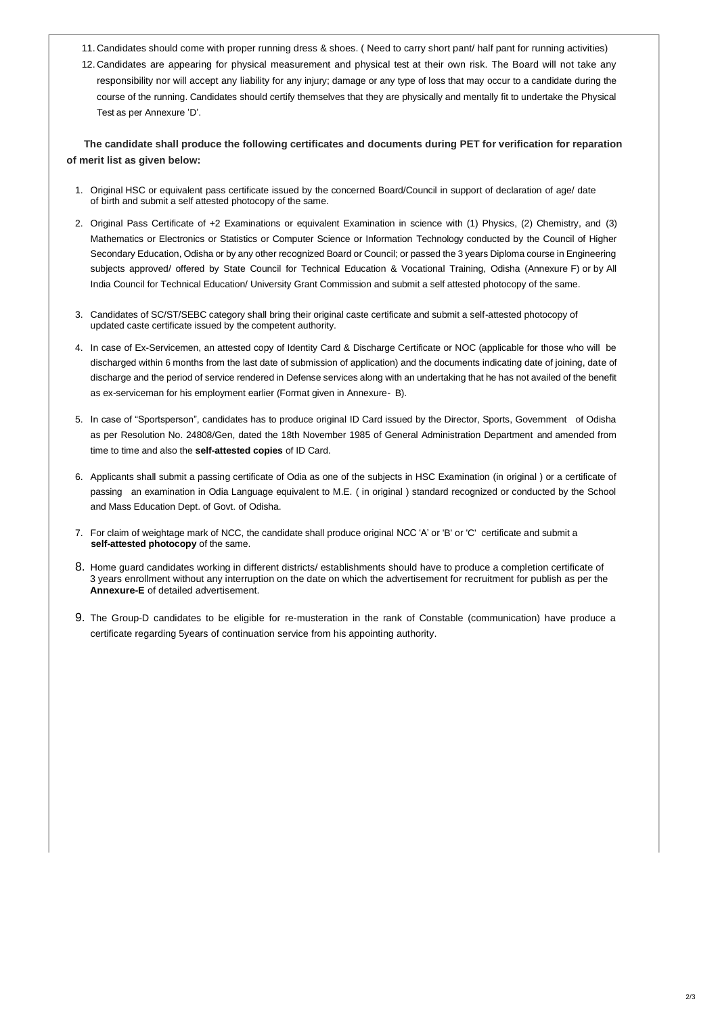2/3

- 11. Candidates should come with proper running dress & shoes. ( Need to carry short pant/ half pant for running activities)
- 12. Candidates are appearing for physical measurement and physical test at their own risk. The Board will not take any responsibility nor will accept any liability for any injury; damage or any type of loss that may occur to a candidate during the course of the running. Candidates should certify themselves that they are physically and mentally fit to undertake the Physical Test as per Annexure 'D'.

 **The candidate shall produce the following certificates and documents during PET for verification for reparation of merit list as given below:**

- 1. Original HSC or equivalent pass certificate issued by the concerned Board/Council in support of declaration of age/ date of birth and submit a self attested photocopy of the same.
- 2. Original Pass Certificate of +2 Examinations or equivalent Examination in science with (1) Physics, (2) Chemistry, and (3) Mathematics or Electronics or Statistics or Computer Science or Information Technology conducted by the Council of Higher Secondary Education, Odisha or by any other recognized Board or Council; or passed the 3 years Diploma course in Engineering subjects approved/ offered by State Council for Technical Education & Vocational Training, Odisha (Annexure F) or by All India Council for Technical Education/ University Grant Commission and submit a self attested photocopy of the same.
- 3. Candidates of SC/ST/SEBC category shall bring their original caste certificate and submit a self-attested photocopy of updated caste certificate issued by the competent authority.
- 4. In case of Ex-Servicemen, an attested copy of Identity Card & Discharge Certificate or NOC (applicable for those who will be discharged within 6 months from the last date of submission of application) and the documents indicating date of joining, date of discharge and the period of service rendered in Defense services along with an undertaking that he has not availed of the benefit as ex-serviceman for his employment earlier (Format given in Annexure- B).
- 5. In case of "Sportsperson", candidates has to produce original ID Card issued by the Director, Sports, Government of Odisha as per Resolution No. 24808/Gen, dated the 18th November 1985 of General Administration Department and amended from time to time and also the **self-attested copies** of ID Card.
- 6. Applicants shall submit a passing certificate of Odia as one of the subjects in HSC Examination (in original ) or a certificate of passing an examination in Odia Language equivalent to M.E. ( in original ) standard recognized or conducted by the School and Mass Education Dept. of Govt. of Odisha.
- 7. For claim of weightage mark of NCC, the candidate shall produce original NCC 'A' or 'B' or 'C' certificate and submit a  **self-attested photocopy** of the same.
- 8. Home guard candidates working in different districts/ establishments should have to produce a completion certificate of 3 years enrollment without any interruption on the date on which the advertisement for recruitment for publish as per the **Annexure-E** of detailed advertisement.
- 9. The Group-D candidates to be eligible for re-musteration in the rank of Constable (communication) have produce a certificate regarding 5years of continuation service from his appointing authority.